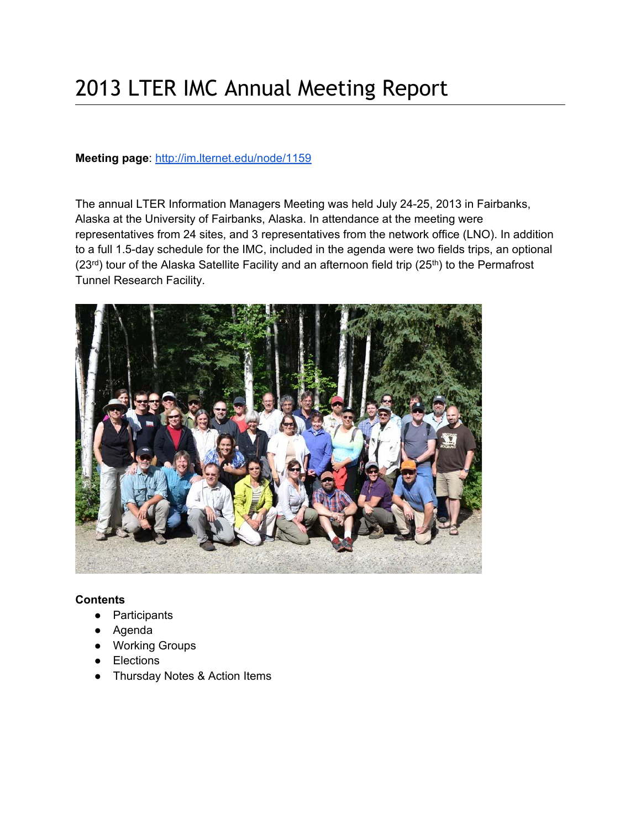# 2013 LTER IMC Annual Meeting Report

#### **Meeting page**[:](http://im.lternet.edu/node/1159) <http://im.lternet.edu/node/1159>

The annual LTER Information Managers Meeting was held July 24-25, 2013 in Fairbanks, Alaska at the University of Fairbanks, Alaska. In attendance at the meeting were representatives from 24 sites, and 3 representatives from the network office (LNO). In addition to a full 1.5-day schedule for the IMC, included in the agenda were two fields trips, an optional  $(23<sup>rd</sup>)$  tour of the Alaska Satellite Facility and an afternoon field trip  $(25<sup>th</sup>)$  to the Permafrost Tunnel Research Facility.



# **Contents**

- Participants
- Agenda
- Working Groups
- Elections
- Thursday Notes & Action Items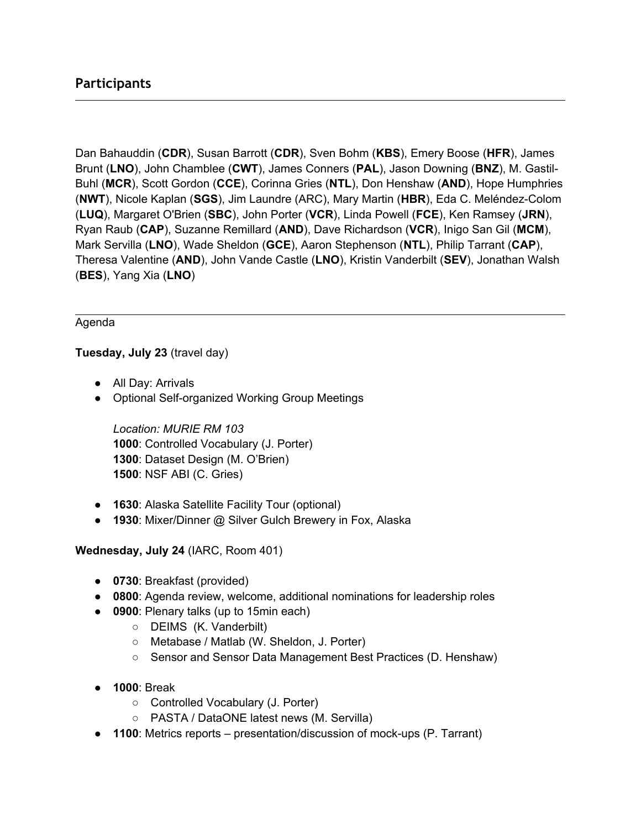# **Participants**

Dan Bahauddin (**CDR**), Susan Barrott (**CDR**), Sven Bohm (**KBS**), Emery Boose (**HFR**), James Brunt (**LNO**), John Chamblee (**CWT**), James Conners (**PAL**), Jason Downing (**BNZ**), M. Gastil-Buhl (**MCR**), Scott Gordon (**CCE**), Corinna Gries (**NTL**), Don Henshaw (**AND**), Hope Humphries (**NWT**), Nicole Kaplan (**SGS**), Jim Laundre (ARC), Mary Martin (**HBR**), Eda C. Meléndez-Colom (**LUQ**), Margaret O'Brien (**SBC**), John Porter (**VCR**), Linda Powell (**FCE**), Ken Ramsey (**JRN**), Ryan Raub (**CAP**), Suzanne Remillard (**AND**), Dave Richardson (**VCR**), Inigo San Gil (**MCM**), Mark Servilla (**LNO**), Wade Sheldon (**GCE**), Aaron Stephenson (**NTL**), Philip Tarrant (**CAP**), Theresa Valentine (**AND**), John Vande Castle (**LNO**), Kristin Vanderbilt (**SEV**), Jonathan Walsh (**BES**), Yang Xia (**LNO**)

#### Agenda

#### **Tuesday, July 23** (travel day)

- All Day: Arrivals
- Optional Self-organized Working Group Meetings

*Location: MURIE RM 103* : Controlled Vocabulary (J. Porter) : Dataset Design (M. O'Brien) : NSF ABI (C. Gries)

- **1630**: Alaska Satellite Facility Tour (optional)
- **1930**: Mixer/Dinner @ Silver Gulch Brewery in Fox, Alaska

**Wednesday, July 24** (IARC, Room 401)

- **0730**: Breakfast (provided)
- **0800**: Agenda review, welcome, additional nominations for leadership roles
- **0900**: Plenary talks (up to 15min each)
	- DEIMS (K. Vanderbilt)
	- Metabase / Matlab (W. Sheldon, J. Porter)
	- Sensor and Sensor Data Management Best Practices (D. Henshaw)
- **1000**: Break
	- Controlled Vocabulary (J. Porter)
	- PASTA / DataONE latest news (M. Servilla)
- **1100**: Metrics reports presentation/discussion of mock-ups (P. Tarrant)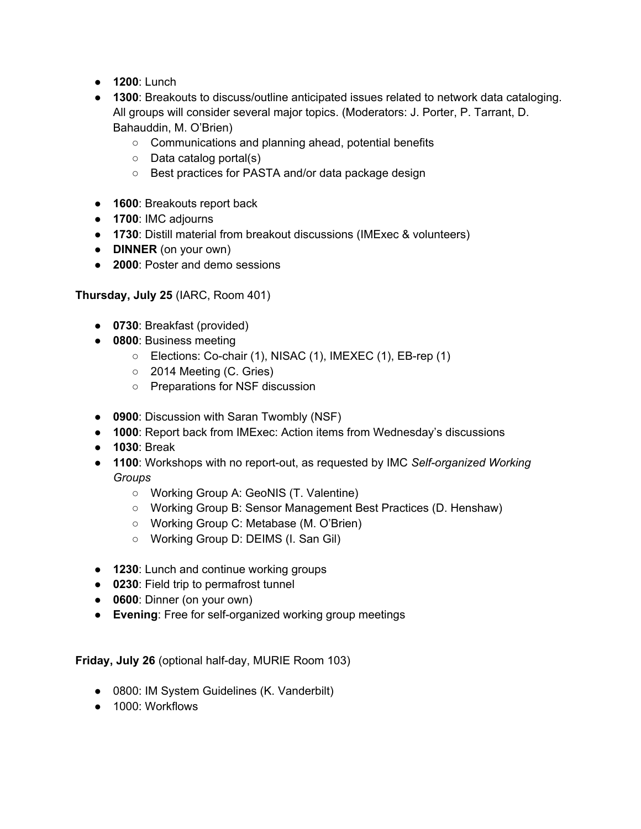- **1200**: Lunch
- **1300**: Breakouts to discuss/outline anticipated issues related to network data cataloging. All groups will consider several major topics. (Moderators: J. Porter, P. Tarrant, D. Bahauddin, M. O'Brien)
	- Communications and planning ahead, potential benefits
	- Data catalog portal(s)
	- Best practices for PASTA and/or data package design
- **1600**: Breakouts report back
- **1700**: IMC adjourns
- **1730**: Distill material from breakout discussions (IMExec & volunteers)
- **DINNER** (on your own)
- **2000**: Poster and demo sessions

**Thursday, July 25** (IARC, Room 401)

- **0730**: Breakfast (provided)
- **0800**: Business meeting
	- Elections: Co-chair (1), NISAC (1), IMEXEC (1), EB-rep (1)
	- 2014 Meeting (C. Gries)
	- Preparations for NSF discussion
- **0900**: Discussion with Saran Twombly (NSF)
- **1000**: Report back from IMExec: Action items from Wednesday's discussions
- **1030**: Break
- **1100**: Workshops with no report-out, as requested by IMC *Self-organized Working Groups*
	- Working Group A: GeoNIS (T. Valentine)
	- Working Group B: Sensor Management Best Practices (D. Henshaw)
	- Working Group C: Metabase (M. O'Brien)
	- Working Group D: DEIMS (I. San Gil)
- **1230**: Lunch and continue working groups
- **0230**: Field trip to permafrost tunnel
- **0600**: Dinner (on your own)
- **Evening**: Free for self-organized working group meetings

**Friday, July 26** (optional half-day, MURIE Room 103)

- 0800: IM System Guidelines (K. Vanderbilt)
- 1000: Workflows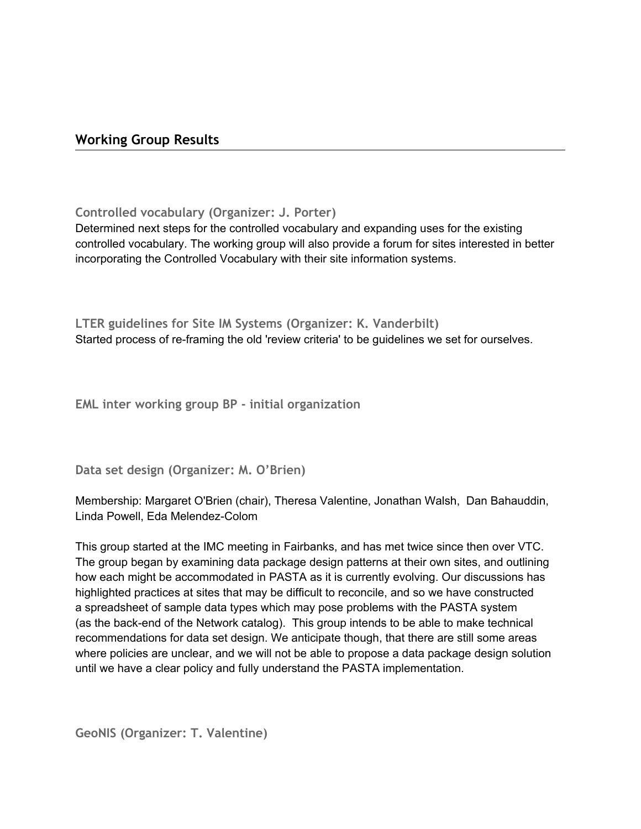# **Working Group Results**

**Controlled vocabulary (Organizer: J. Porter)**

Determined next steps for the controlled vocabulary and expanding uses for the existing controlled vocabulary. The working group will also provide a forum for sites interested in better incorporating the Controlled Vocabulary with their site information systems.

**LTER guidelines for Site IM Systems (Organizer: K. Vanderbilt)** Started process of re-framing the old 'review criteria' to be guidelines we set for ourselves.

**EML inter working group BP - initial organization**

**Data set design (Organizer: M. O'Brien)**

Membership: Margaret O'Brien (chair), Theresa Valentine, Jonathan Walsh, Dan Bahauddin, Linda Powell, Eda Melendez-Colom

This group started at the IMC meeting in Fairbanks, and has met twice since then over VTC. The group began by examining data package design patterns at their own sites, and outlining how each might be accommodated in PASTA as it is currently evolving. Our discussions has highlighted practices at sites that may be difficult to reconcile, and so we have constructed a spreadsheet of sample data types which may pose problems with the PASTA system (as the back-end of the Network catalog). This group intends to be able to make technical recommendations for data set design. We anticipate though, that there are still some areas where policies are unclear, and we will not be able to propose a data package design solution until we have a clear policy and fully understand the PASTA implementation.

**GeoNIS (Organizer: T. Valentine)**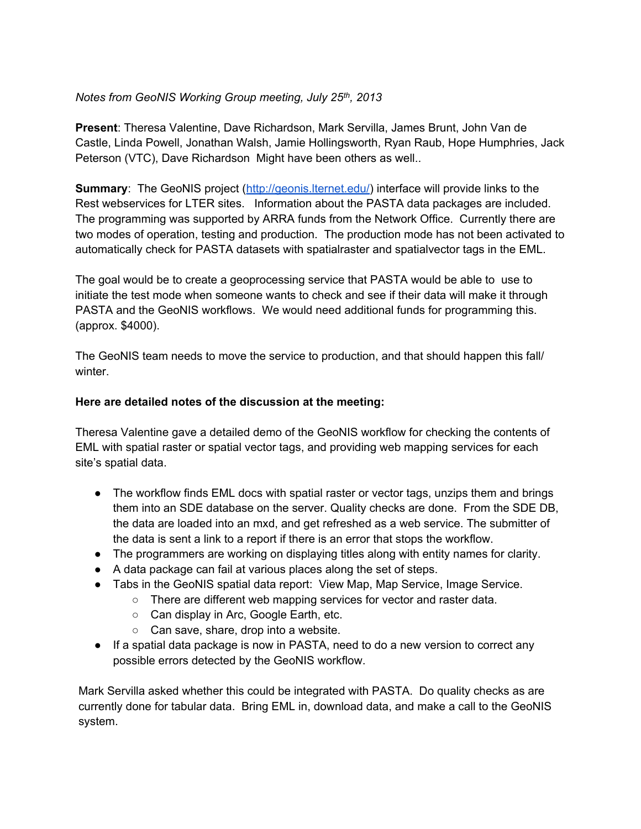### *Notes from GeoNIS Working Group meeting, July 25th , 2013*

**Present**: Theresa Valentine, Dave Richardson, Mark Servilla, James Brunt, John Van de Castle, Linda Powell, Jonathan Walsh, Jamie Hollingsworth, Ryan Raub, Hope Humphries, Jack Peterson (VTC), Dave Richardson Might have been others as well..

**Summary**: The GeoNIS project [\(http://geonis.lternet.edu/](http://geonis.lternet.edu/)) interface will provide links to the Rest webservices for LTER sites. Information about the PASTA data packages are included. The programming was supported by ARRA funds from the Network Office. Currently there are two modes of operation, testing and production. The production mode has not been activated to automatically check for PASTA datasets with spatialraster and spatialvector tags in the EML.

The goal would be to create a geoprocessing service that PASTA would be able to use to initiate the test mode when someone wants to check and see if their data will make it through PASTA and the GeoNIS workflows. We would need additional funds for programming this. (approx. \$4000).

The GeoNIS team needs to move the service to production, and that should happen this fall/ winter.

#### **Here are detailed notes of the discussion at the meeting:**

Theresa Valentine gave a detailed demo of the GeoNIS workflow for checking the contents of EML with spatial raster or spatial vector tags, and providing web mapping services for each site's spatial data.

- The workflow finds EML docs with spatial raster or vector tags, unzips them and brings them into an SDE database on the server. Quality checks are done. From the SDE DB, the data are loaded into an mxd, and get refreshed as a web service. The submitter of the data is sent a link to a report if there is an error that stops the workflow.
- The programmers are working on displaying titles along with entity names for clarity.
- A data package can fail at various places along the set of steps.
- Tabs in the GeoNIS spatial data report: View Map, Map Service, Image Service.
	- There are different web mapping services for vector and raster data.
		- Can display in Arc, Google Earth, etc.
		- Can save, share, drop into a website.
- If a spatial data package is now in PASTA, need to do a new version to correct any possible errors detected by the GeoNIS workflow.

Mark Servilla asked whether this could be integrated with PASTA. Do quality checks as are currently done for tabular data. Bring EML in, download data, and make a call to the GeoNIS system.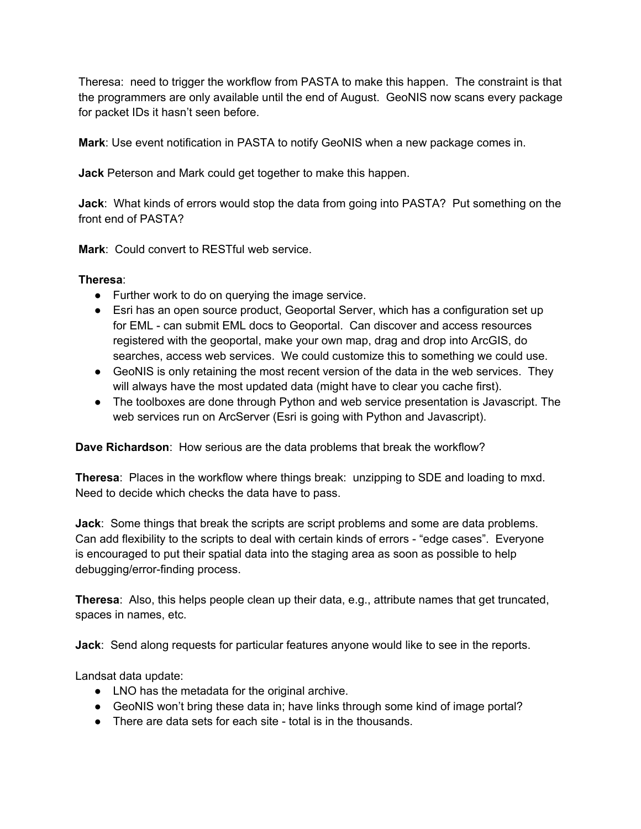Theresa: need to trigger the workflow from PASTA to make this happen. The constraint is that the programmers are only available until the end of August. GeoNIS now scans every package for packet IDs it hasn't seen before.

**Mark**: Use event notification in PASTA to notify GeoNIS when a new package comes in.

**Jack** Peterson and Mark could get together to make this happen.

**Jack**: What kinds of errors would stop the data from going into PASTA? Put something on the front end of PASTA?

**Mark**: Could convert to RESTful web service.

#### **Theresa**:

- Further work to do on querying the image service.
- Esri has an open source product, Geoportal Server, which has a configuration set up for EML - can submit EML docs to Geoportal. Can discover and access resources registered with the geoportal, make your own map, drag and drop into ArcGIS, do searches, access web services. We could customize this to something we could use.
- GeoNIS is only retaining the most recent version of the data in the web services. They will always have the most updated data (might have to clear you cache first).
- The toolboxes are done through Python and web service presentation is Javascript. The web services run on ArcServer (Esri is going with Python and Javascript).

**Dave Richardson**: How serious are the data problems that break the workflow?

**Theresa**: Places in the workflow where things break: unzipping to SDE and loading to mxd. Need to decide which checks the data have to pass.

**Jack**: Some things that break the scripts are script problems and some are data problems. Can add flexibility to the scripts to deal with certain kinds of errors - "edge cases". Everyone is encouraged to put their spatial data into the staging area as soon as possible to help debugging/error-finding process.

**Theresa**: Also, this helps people clean up their data, e.g., attribute names that get truncated, spaces in names, etc.

**Jack**: Send along requests for particular features anyone would like to see in the reports.

Landsat data update:

- LNO has the metadata for the original archive.
- GeoNIS won't bring these data in; have links through some kind of image portal?
- There are data sets for each site total is in the thousands.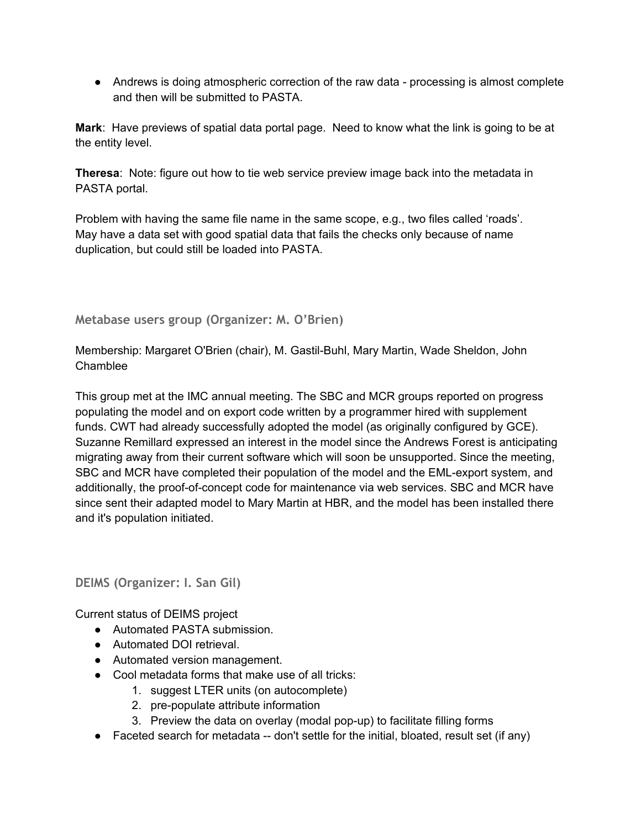• Andrews is doing atmospheric correction of the raw data - processing is almost complete and then will be submitted to PASTA.

**Mark**: Have previews of spatial data portal page. Need to know what the link is going to be at the entity level.

**Theresa**: Note: figure out how to tie web service preview image back into the metadata in PASTA portal.

Problem with having the same file name in the same scope, e.g., two files called 'roads'. May have a data set with good spatial data that fails the checks only because of name duplication, but could still be loaded into PASTA.

# **Metabase users group (Organizer: M. O'Brien)**

Membership: Margaret O'Brien (chair), M. Gastil-Buhl, Mary Martin, Wade Sheldon, John Chamblee

This group met at the IMC annual meeting. The SBC and MCR groups reported on progress populating the model and on export code written by a programmer hired with supplement funds. CWT had already successfully adopted the model (as originally configured by GCE). Suzanne Remillard expressed an interest in the model since the Andrews Forest is anticipating migrating away from their current software which will soon be unsupported. Since the meeting, SBC and MCR have completed their population of the model and the EML-export system, and additionally, the proof-of-concept code for maintenance via web services. SBC and MCR have since sent their adapted model to Mary Martin at HBR, and the model has been installed there and it's population initiated.

**DEIMS (Organizer: I. San Gil)**

Current status of DEIMS project

- Automated PASTA submission.
- Automated DOI retrieval.
- Automated version management.
- Cool metadata forms that make use of all tricks:
	- 1. suggest LTER units (on autocomplete)
	- 2. pre-populate attribute information
	- 3. Preview the data on overlay (modal pop-up) to facilitate filling forms
- Faceted search for metadata -- don't settle for the initial, bloated, result set (if any)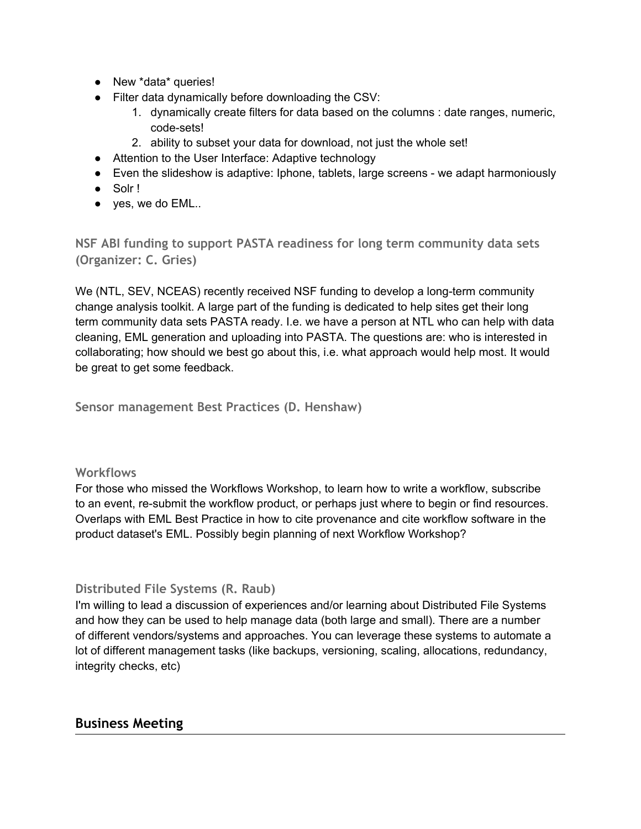- New \*data\* queries!
- Filter data dynamically before downloading the CSV:
	- 1. dynamically create filters for data based on the columns : date ranges, numeric, code-sets!
	- 2. ability to subset your data for download, not just the whole set!
- Attention to the User Interface: Adaptive technology
- Even the slideshow is adaptive: Iphone, tablets, large screens we adapt harmoniously
- Solr !
- $\bullet$  yes, we do EML..

**NSF ABI funding to support PASTA readiness for long term community data sets (Organizer: C. Gries)**

We (NTL, SEV, NCEAS) recently received NSF funding to develop a long-term community change analysis toolkit. A large part of the funding is dedicated to help sites get their long term community data sets PASTA ready. I.e. we have a person at NTL who can help with data cleaning, EML generation and uploading into PASTA. The questions are: who is interested in collaborating; how should we best go about this, i.e. what approach would help most. It would be great to get some feedback.

**Sensor management Best Practices (D. Henshaw)**

# **Workflows**

For those who missed the Workflows Workshop, to learn how to write a workflow, subscribe to an event, re-submit the workflow product, or perhaps just where to begin or find resources. Overlaps with EML Best Practice in how to cite provenance and cite workflow software in the product dataset's EML. Possibly begin planning of next Workflow Workshop?

# **Distributed File Systems (R. Raub)**

I'm willing to lead a discussion of experiences and/or learning about Distributed File Systems and how they can be used to help manage data (both large and small). There are a number of different vendors/systems and approaches. You can leverage these systems to automate a lot of different management tasks (like backups, versioning, scaling, allocations, redundancy, integrity checks, etc)

# **Business Meeting**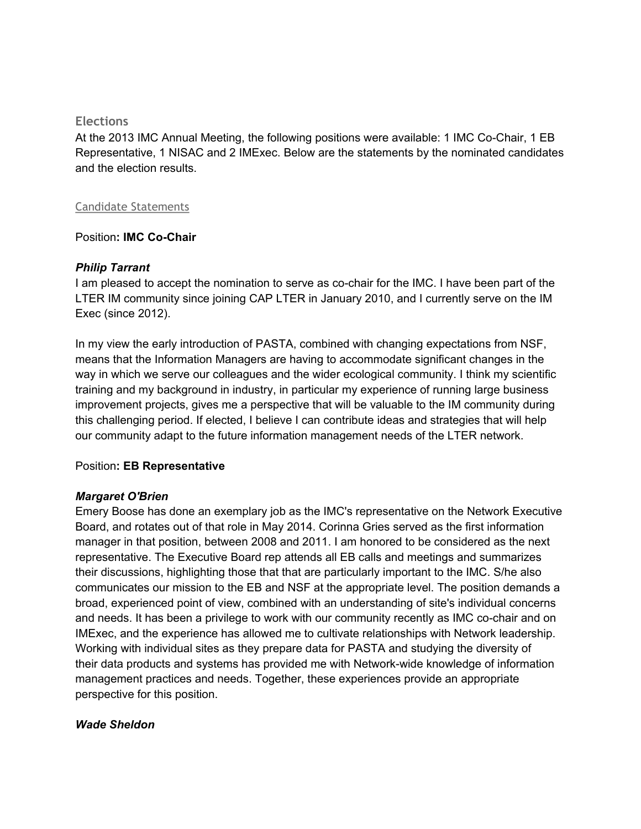#### **Elections**

At the 2013 IMC Annual Meeting, the following positions were available: 1 IMC Co-Chair, 1 EB Representative, 1 NISAC and 2 IMExec. Below are the statements by the nominated candidates and the election results.

#### Candidate Statements

#### Position**: IMC Co-Chair**

#### *Philip Tarrant*

I am pleased to accept the nomination to serve as co-chair for the IMC. I have been part of the LTER IM community since joining CAP LTER in January 2010, and I currently serve on the IM Exec (since 2012).

In my view the early introduction of PASTA, combined with changing expectations from NSF, means that the Information Managers are having to accommodate significant changes in the way in which we serve our colleagues and the wider ecological community. I think my scientific training and my background in industry, in particular my experience of running large business improvement projects, gives me a perspective that will be valuable to the IM community during this challenging period. If elected, I believe I can contribute ideas and strategies that will help our community adapt to the future information management needs of the LTER network.

#### Position**: EB Representative**

#### *Margaret O'Brien*

Emery Boose has done an exemplary job as the IMC's representative on the Network Executive Board, and rotates out of that role in May 2014. Corinna Gries served as the first information manager in that position, between 2008 and 2011. I am honored to be considered as the next representative. The Executive Board rep attends all EB calls and meetings and summarizes their discussions, highlighting those that that are particularly important to the IMC. S/he also communicates our mission to the EB and NSF at the appropriate level. The position demands a broad, experienced point of view, combined with an understanding of site's individual concerns and needs. It has been a privilege to work with our community recently as IMC co-chair and on IMExec, and the experience has allowed me to cultivate relationships with Network leadership. Working with individual sites as they prepare data for PASTA and studying the diversity of their data products and systems has provided me with Network-wide knowledge of information management practices and needs. Together, these experiences provide an appropriate perspective for this position.

#### *Wade Sheldon*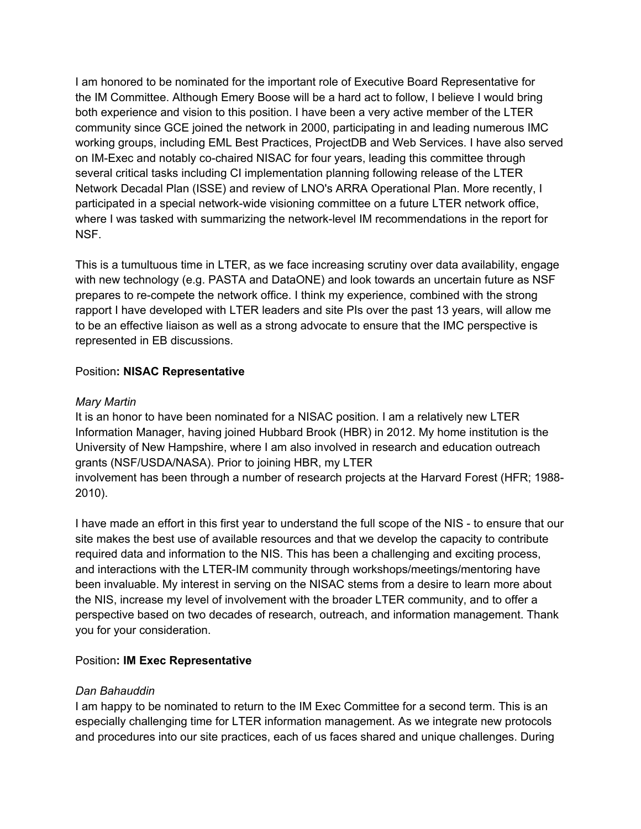I am honored to be nominated for the important role of Executive Board Representative for the IM Committee. Although Emery Boose will be a hard act to follow, I believe I would bring both experience and vision to this position. I have been a very active member of the LTER community since GCE joined the network in 2000, participating in and leading numerous IMC working groups, including EML Best Practices, ProjectDB and Web Services. I have also served on IM-Exec and notably co-chaired NISAC for four years, leading this committee through several critical tasks including CI implementation planning following release of the LTER Network Decadal Plan (ISSE) and review of LNO's ARRA Operational Plan. More recently, I participated in a special network-wide visioning committee on a future LTER network office, where I was tasked with summarizing the network-level IM recommendations in the report for NSF.

This is a tumultuous time in LTER, as we face increasing scrutiny over data availability, engage with new technology (e.g. PASTA and DataONE) and look towards an uncertain future as NSF prepares to re-compete the network office. I think my experience, combined with the strong rapport I have developed with LTER leaders and site PIs over the past 13 years, will allow me to be an effective liaison as well as a strong advocate to ensure that the IMC perspective is represented in EB discussions.

#### Position**: NISAC Representative**

#### *Mary Martin*

It is an honor to have been nominated for a NISAC position. I am a relatively new LTER Information Manager, having joined Hubbard Brook (HBR) in 2012. My home institution is the University of New Hampshire, where I am also involved in research and education outreach grants (NSF/USDA/NASA). Prior to joining HBR, my LTER involvement has been through a number of research projects at the Harvard Forest (HFR; 1988- 2010).

I have made an effort in this first year to understand the full scope of the NIS - to ensure that our site makes the best use of available resources and that we develop the capacity to contribute required data and information to the NIS. This has been a challenging and exciting process, and interactions with the LTER-IM community through workshops/meetings/mentoring have been invaluable. My interest in serving on the NISAC stems from a desire to learn more about the NIS, increase my level of involvement with the broader LTER community, and to offer a perspective based on two decades of research, outreach, and information management. Thank you for your consideration.

#### Position**: IM Exec Representative**

# *Dan Bahauddin*

I am happy to be nominated to return to the IM Exec Committee for a second term. This is an especially challenging time for LTER information management. As we integrate new protocols and procedures into our site practices, each of us faces shared and unique challenges. During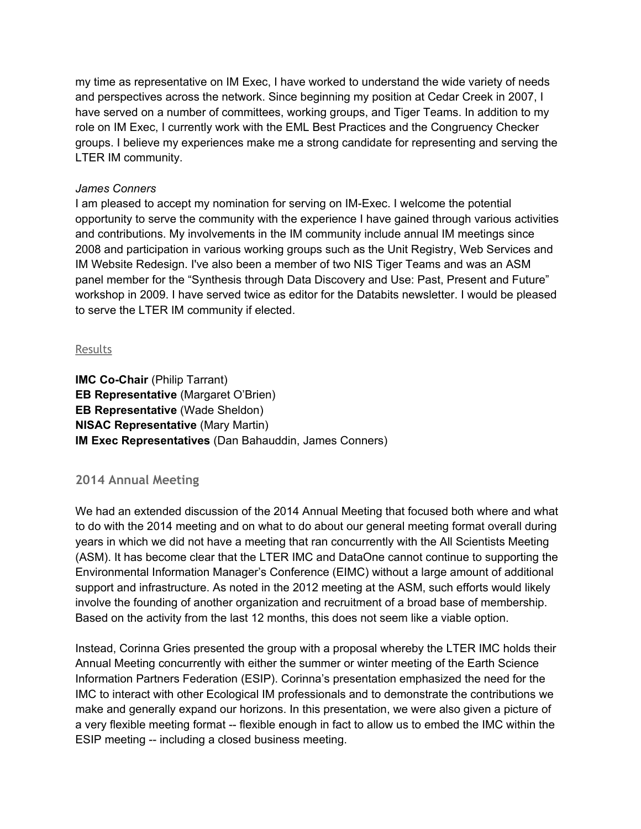my time as representative on IM Exec, I have worked to understand the wide variety of needs and perspectives across the network. Since beginning my position at Cedar Creek in 2007, I have served on a number of committees, working groups, and Tiger Teams. In addition to my role on IM Exec, I currently work with the EML Best Practices and the Congruency Checker groups. I believe my experiences make me a strong candidate for representing and serving the LTER IM community.

#### *James Conners*

I am pleased to accept my nomination for serving on IM-Exec. I welcome the potential opportunity to serve the community with the experience I have gained through various activities and contributions. My involvements in the IM community include annual IM meetings since 2008 and participation in various working groups such as the Unit Registry, Web Services and IM Website Redesign. I've also been a member of two NIS Tiger Teams and was an ASM panel member for the "Synthesis through Data Discovery and Use: Past, Present and Future" workshop in 2009. I have served twice as editor for the Databits newsletter. I would be pleased to serve the LTER IM community if elected.

#### Results

**IMC Co-Chair** (Philip Tarrant) **EB Representative** (Margaret O'Brien) **EB Representative** (Wade Sheldon) **NISAC Representative** (Mary Martin) **IM Exec Representatives** (Dan Bahauddin, James Conners)

# **2014 Annual Meeting**

We had an extended discussion of the 2014 Annual Meeting that focused both where and what to do with the 2014 meeting and on what to do about our general meeting format overall during years in which we did not have a meeting that ran concurrently with the All Scientists Meeting (ASM). It has become clear that the LTER IMC and DataOne cannot continue to supporting the Environmental Information Manager's Conference (EIMC) without a large amount of additional support and infrastructure. As noted in the 2012 meeting at the ASM, such efforts would likely involve the founding of another organization and recruitment of a broad base of membership. Based on the activity from the last 12 months, this does not seem like a viable option.

Instead, Corinna Gries presented the group with a proposal whereby the LTER IMC holds their Annual Meeting concurrently with either the summer or winter meeting of the Earth Science Information Partners Federation (ESIP). Corinna's presentation emphasized the need for the IMC to interact with other Ecological IM professionals and to demonstrate the contributions we make and generally expand our horizons. In this presentation, we were also given a picture of a very flexible meeting format -- flexible enough in fact to allow us to embed the IMC within the ESIP meeting -- including a closed business meeting.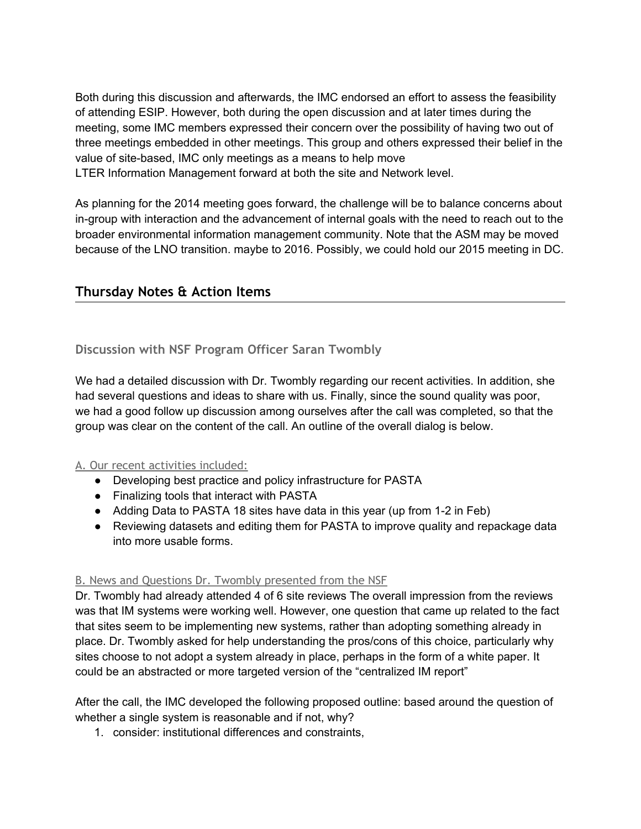Both during this discussion and afterwards, the IMC endorsed an effort to assess the feasibility of attending ESIP. However, both during the open discussion and at later times during the meeting, some IMC members expressed their concern over the possibility of having two out of three meetings embedded in other meetings. This group and others expressed their belief in the value of site-based, IMC only meetings as a means to help move LTER Information Management forward at both the site and Network level.

As planning for the 2014 meeting goes forward, the challenge will be to balance concerns about in-group with interaction and the advancement of internal goals with the need to reach out to the broader environmental information management community. Note that the ASM may be moved because of the LNO transition. maybe to 2016. Possibly, we could hold our 2015 meeting in DC.

# **Thursday Notes & Action Items**

# **Discussion with NSF Program Officer Saran Twombly**

We had a detailed discussion with Dr. Twombly regarding our recent activities. In addition, she had several questions and ideas to share with us. Finally, since the sound quality was poor, we had a good follow up discussion among ourselves after the call was completed, so that the group was clear on the content of the call. An outline of the overall dialog is below.

# A. Our recent activities included:

- Developing best practice and policy infrastructure for PASTA
- Finalizing tools that interact with PASTA
- Adding Data to PASTA 18 sites have data in this year (up from 1-2 in Feb)
- Reviewing datasets and editing them for PASTA to improve quality and repackage data into more usable forms.

#### B. News and Questions Dr. Twombly presented from the NSF

Dr. Twombly had already attended 4 of 6 site reviews The overall impression from the reviews was that IM systems were working well. However, one question that came up related to the fact that sites seem to be implementing new systems, rather than adopting something already in place. Dr. Twombly asked for help understanding the pros/cons of this choice, particularly why sites choose to not adopt a system already in place, perhaps in the form of a white paper. It could be an abstracted or more targeted version of the "centralized IM report"

After the call, the IMC developed the following proposed outline: based around the question of whether a single system is reasonable and if not, why?

1. consider: institutional differences and constraints,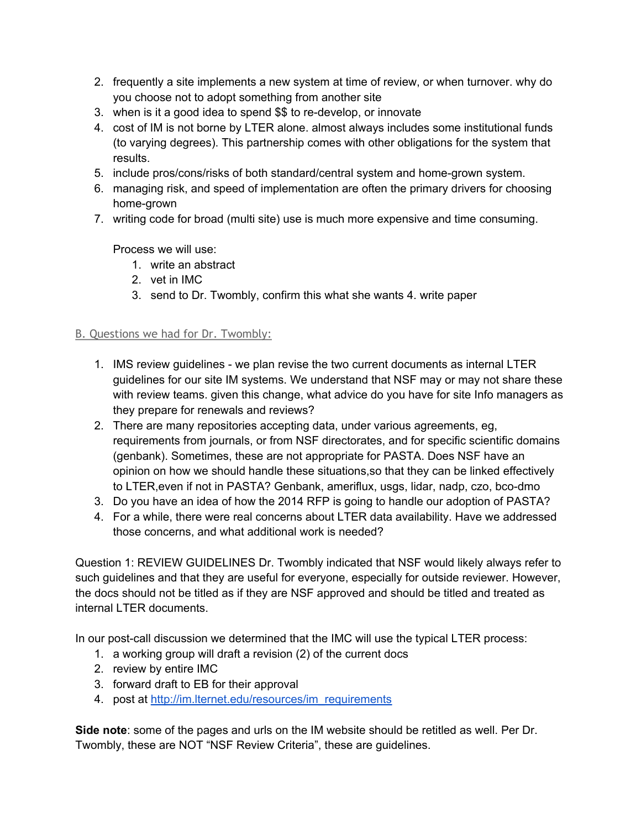- 2. frequently a site implements a new system at time of review, or when turnover. why do you choose not to adopt something from another site
- 3. when is it a good idea to spend \$\$ to re-develop, or innovate
- 4. cost of IM is not borne by LTER alone. almost always includes some institutional funds (to varying degrees). This partnership comes with other obligations for the system that results.
- 5. include pros/cons/risks of both standard/central system and home-grown system.
- 6. managing risk, and speed of implementation are often the primary drivers for choosing home-grown
- 7. writing code for broad (multi site) use is much more expensive and time consuming.

Process we will use:

- 1. write an abstract
- 2. vet in IMC
- 3. send to Dr. Twombly, confirm this what she wants 4. write paper

#### B. Questions we had for Dr. Twombly:

- 1. IMS review guidelines we plan revise the two current documents as internal LTER guidelines for our site IM systems. We understand that NSF may or may not share these with review teams. given this change, what advice do you have for site Info managers as they prepare for renewals and reviews?
- 2. There are many repositories accepting data, under various agreements, eg, requirements from journals, or from NSF directorates, and for specific scientific domains (genbank). Sometimes, these are not appropriate for PASTA. Does NSF have an opinion on how we should handle these situations,so that they can be linked effectively to LTER,even if not in PASTA? Genbank, ameriflux, usgs, lidar, nadp, czo, bco-dmo
- 3. Do you have an idea of how the 2014 RFP is going to handle our adoption of PASTA?
- 4. For a while, there were real concerns about LTER data availability. Have we addressed those concerns, and what additional work is needed?

Question 1: REVIEW GUIDELINES Dr. Twombly indicated that NSF would likely always refer to such guidelines and that they are useful for everyone, especially for outside reviewer. However, the docs should not be titled as if they are NSF approved and should be titled and treated as internal LTER documents.

In our post-call discussion we determined that the IMC will use the typical LTER process:

- 1. a working group will draft a revision (2) of the current docs
- 2. review by entire IMC
- 3. forward draft to EB for their approval
- 4. post at [http://im.lternet.edu/resources/im\\_requirements](http://im.lternet.edu/resources/im_requirements)

**Side note**: some of the pages and urls on the IM website should be retitled as well. Per Dr. Twombly, these are NOT "NSF Review Criteria", these are guidelines.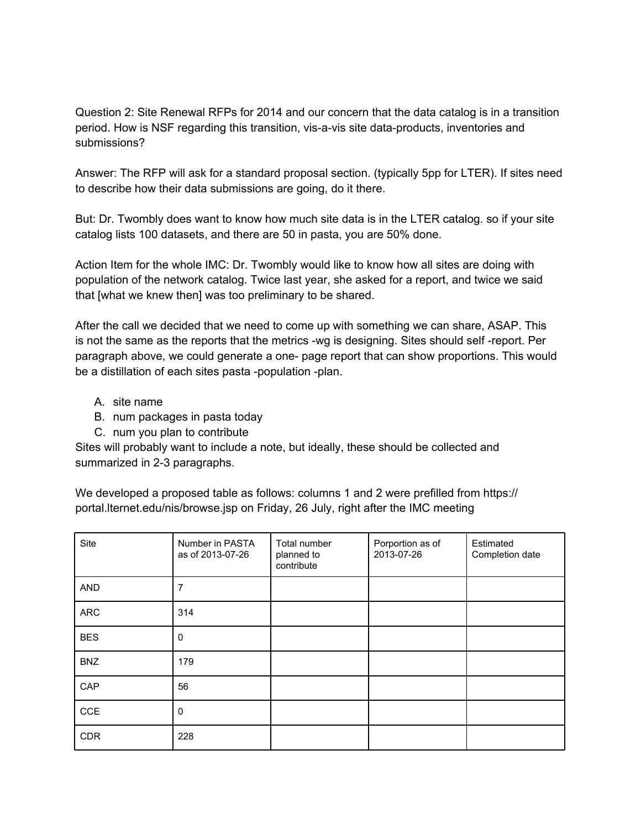Question 2: Site Renewal RFPs for 2014 and our concern that the data catalog is in a transition period. How is NSF regarding this transition, vis-a-vis site data-products, inventories and submissions?

Answer: The RFP will ask for a standard proposal section. (typically 5pp for LTER). If sites need to describe how their data submissions are going, do it there.

But: Dr. Twombly does want to know how much site data is in the LTER catalog. so if your site catalog lists 100 datasets, and there are 50 in pasta, you are 50% done.

Action Item for the whole IMC: Dr. Twombly would like to know how all sites are doing with population of the network catalog. Twice last year, she asked for a report, and twice we said that [what we knew then] was too preliminary to be shared.

After the call we decided that we need to come up with something we can share, ASAP. This is not the same as the reports that the metrics -wg is designing. Sites should self -report. Per paragraph above, we could generate a one- page report that can show proportions. This would be a distillation of each sites pasta -population -plan.

- A. site name
- B. num packages in pasta today
- C. num you plan to contribute

Sites will probably want to include a note, but ideally, these should be collected and summarized in 2-3 paragraphs.

We developed a proposed table as follows: columns 1 and 2 were prefilled from https:// portal.lternet.edu/nis/browse.jsp on Friday, 26 July, right after the IMC meeting

| Site       | Number in PASTA<br>as of 2013-07-26 | Total number<br>planned to<br>contribute | Porportion as of<br>2013-07-26 | Estimated<br>Completion date |
|------------|-------------------------------------|------------------------------------------|--------------------------------|------------------------------|
| <b>AND</b> | 7                                   |                                          |                                |                              |
| <b>ARC</b> | 314                                 |                                          |                                |                              |
| <b>BES</b> | $\mathbf 0$                         |                                          |                                |                              |
| <b>BNZ</b> | 179                                 |                                          |                                |                              |
| CAP        | 56                                  |                                          |                                |                              |
| CCE        | $\mathbf 0$                         |                                          |                                |                              |
| <b>CDR</b> | 228                                 |                                          |                                |                              |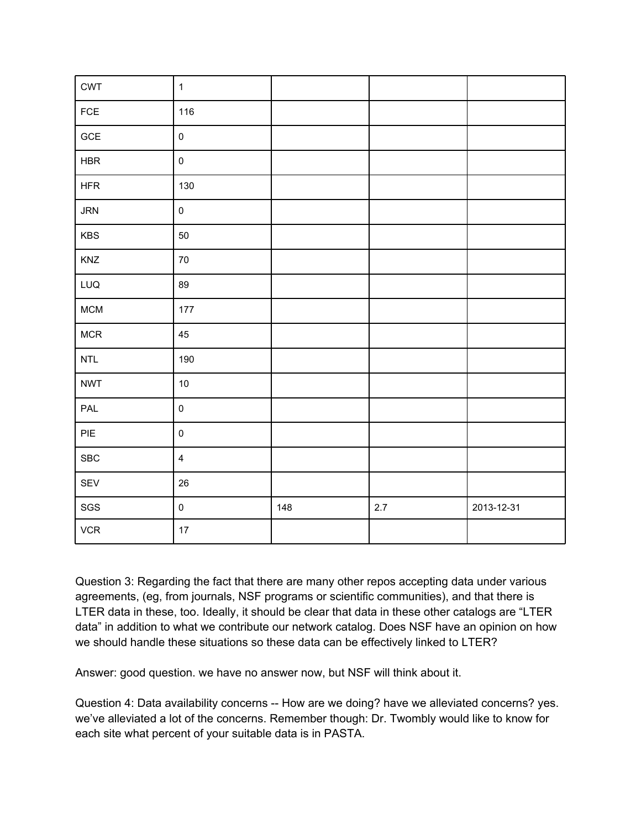| <b>CWT</b>     | $\mathbf{1}$            |     |     |            |
|----------------|-------------------------|-----|-----|------------|
| $\mathsf{FCE}$ | 116                     |     |     |            |
| $\sf GCE$      | $\mathsf 0$             |     |     |            |
| HBR            | $\mathsf{O}\xspace$     |     |     |            |
| <b>HFR</b>     | 130                     |     |     |            |
| <b>JRN</b>     | $\mathsf{O}\xspace$     |     |     |            |
| KBS            | 50                      |     |     |            |
| KNZ            | $70\,$                  |     |     |            |
| LUQ            | 89                      |     |     |            |
| <b>MCM</b>     | $177$                   |     |     |            |
| $MCR$          | 45                      |     |     |            |
| $\sf{NTL}$     | 190                     |     |     |            |
| <b>NWT</b>     | $10$                    |     |     |            |
| PAL            | $\mathsf{O}\xspace$     |     |     |            |
| $\sf PIE$      | $\pmb{0}$               |     |     |            |
| ${\tt SBC}$    | $\overline{\mathbf{4}}$ |     |     |            |
| SEV            | 26                      |     |     |            |
| $_{\rm SGS}$   | $\mathsf{O}\xspace$     | 148 | 2.7 | 2013-12-31 |
| ${\sf VCR}$    | $17\,$                  |     |     |            |

Question 3: Regarding the fact that there are many other repos accepting data under various agreements, (eg, from journals, NSF programs or scientific communities), and that there is LTER data in these, too. Ideally, it should be clear that data in these other catalogs are "LTER data" in addition to what we contribute our network catalog. Does NSF have an opinion on how we should handle these situations so these data can be effectively linked to LTER?

Answer: good question. we have no answer now, but NSF will think about it.

Question 4: Data availability concerns -- How are we doing? have we alleviated concerns? yes. we've alleviated a lot of the concerns. Remember though: Dr. Twombly would like to know for each site what percent of your suitable data is in PASTA.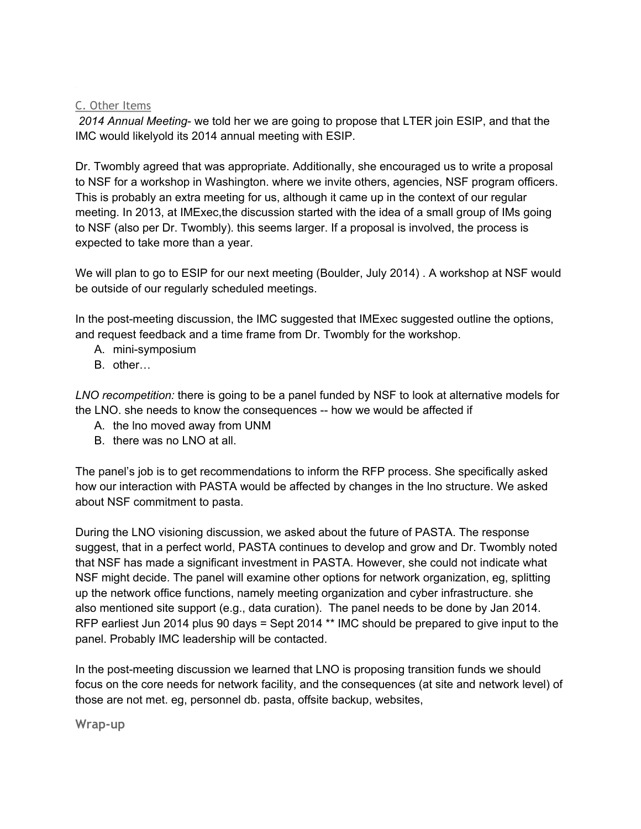# C. Other Items

*2014 Annual Meeting*- we told her we are going to propose that LTER join ESIP, and that the IMC would likelyold its 2014 annual meeting with ESIP.

Dr. Twombly agreed that was appropriate. Additionally, she encouraged us to write a proposal to NSF for a workshop in Washington. where we invite others, agencies, NSF program officers. This is probably an extra meeting for us, although it came up in the context of our regular meeting. In 2013, at IMExec,the discussion started with the idea of a small group of IMs going to NSF (also per Dr. Twombly). this seems larger. If a proposal is involved, the process is expected to take more than a year.

We will plan to go to ESIP for our next meeting (Boulder, July 2014) . A workshop at NSF would be outside of our regularly scheduled meetings.

In the post-meeting discussion, the IMC suggested that IMExec suggested outline the options, and request feedback and a time frame from Dr. Twombly for the workshop.

- A. mini-symposium
- B. other…

*LNO recompetition:* there is going to be a panel funded by NSF to look at alternative models for the LNO. she needs to know the consequences -- how we would be affected if

- A. the lno moved away from UNM
- B. there was no LNO at all.

The panel's job is to get recommendations to inform the RFP process. She specifically asked how our interaction with PASTA would be affected by changes in the lno structure. We asked about NSF commitment to pasta.

During the LNO visioning discussion, we asked about the future of PASTA. The response suggest, that in a perfect world, PASTA continues to develop and grow and Dr. Twombly noted that NSF has made a significant investment in PASTA. However, she could not indicate what NSF might decide. The panel will examine other options for network organization, eg, splitting up the network office functions, namely meeting organization and cyber infrastructure. she also mentioned site support (e.g., data curation). The panel needs to be done by Jan 2014. RFP earliest Jun 2014 plus 90 days = Sept 2014 \*\* IMC should be prepared to give input to the panel. Probably IMC leadership will be contacted.

In the post-meeting discussion we learned that LNO is proposing transition funds we should focus on the core needs for network facility, and the consequences (at site and network level) of those are not met. eg, personnel db. pasta, offsite backup, websites,

**Wrap-up**